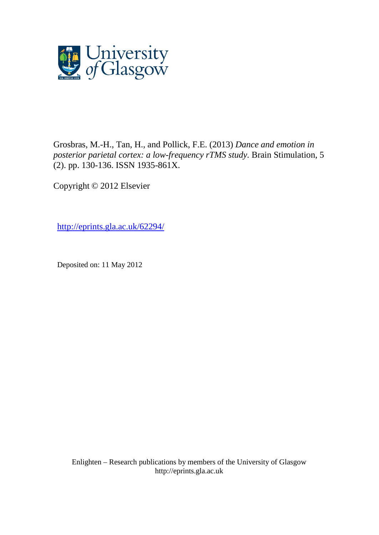

[Grosbras, M.-H.,](http://eprints.gla.ac.uk/view/author/9579.html) [Tan, H.,](http://eprints.gla.ac.uk/view/author/21565.html) and [Pollick, F.E.](http://eprints.gla.ac.uk/view/author/5312.html) (2013) *Dance and emotion in posterior parietal cortex: a low-frequency rTMS study.* [Brain Stimulation,](http://eprints.gla.ac.uk/view/journal_volume/Brain_Stimulation.html) 5 (2). pp. 130-136. ISSN 1935-861X.

Copyright © 2012 Elsevier

<http://eprints.gla.ac.uk/62294/>

Deposited on: 11 May 2012

Enlighten – Research publications by members of the University of Glasgo[w](http://eprints.gla.ac.uk/) [http://eprints.gla.ac.uk](http://eprints.gla.ac.uk/)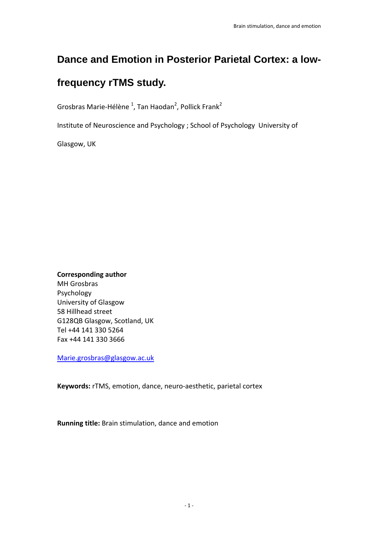# **Dance and Emotion in Posterior Parietal Cortex: a low-**

# **frequency rTMS study.**

Grosbras Marie-Hélène <sup>1</sup>, Tan Haodan<sup>2</sup>, Pollick Frank<sup>2</sup>

Institute of Neuroscience and Psychology ; School of Psychology University of

Glasgow, UK

**Corresponding author** MH Grosbras Psychology University of Glasgow 58 Hillhead street G128QB Glasgow, Scotland, UK Tel +44 141 330 5264 Fax +44 141 330 3666

Marie.grosbras@glasgow.ac.uk

**Keywords:** rTMS, emotion, dance, neuro‐aesthetic, parietal cortex

**Running title:** Brain stimulation, dance and emotion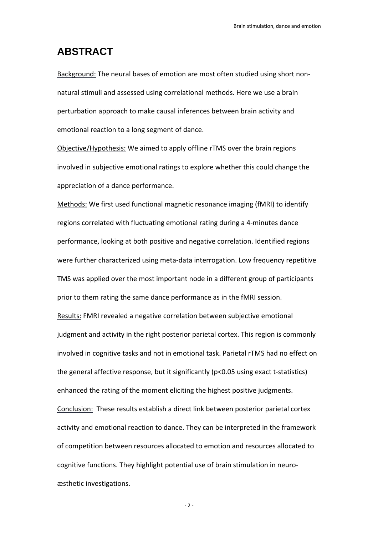# **ABSTRACT**

Background: The neural bases of emotion are most often studied using short non‐ natural stimuli and assessed using correlational methods. Here we use a brain perturbation approach to make causal inferences between brain activity and emotional reaction to a long segment of dance.

Objective/Hypothesis: We aimed to apply offline rTMS over the brain regions involved in subjective emotional ratings to explore whether this could change the appreciation of a dance performance.

Methods: We first used functional magnetic resonance imaging (fMRI) to identify regions correlated with fluctuating emotional rating during a 4‐minutes dance performance, looking at both positive and negative correlation. Identified regions were further characterized using meta-data interrogation. Low frequency repetitive TMS was applied over the most important node in a different group of participants prior to them rating the same dance performance as in the fMRI session.

Results: FMRI revealed a negative correlation between subjective emotional judgment and activity in the right posterior parietal cortex. This region is commonly involved in cognitive tasks and not in emotional task. Parietal rTMS had no effect on the general affective response, but it significantly (p<0.05 using exact t‐statistics) enhanced the rating of the moment eliciting the highest positive judgments. Conclusion: These results establish a direct link between posterior parietal cortex activity and emotional reaction to dance. They can be interpreted in the framework of competition between resources allocated to emotion and resources allocated to cognitive functions. They highlight potential use of brain stimulation in neuro‐ æsthetic investigations.

 $-2 -$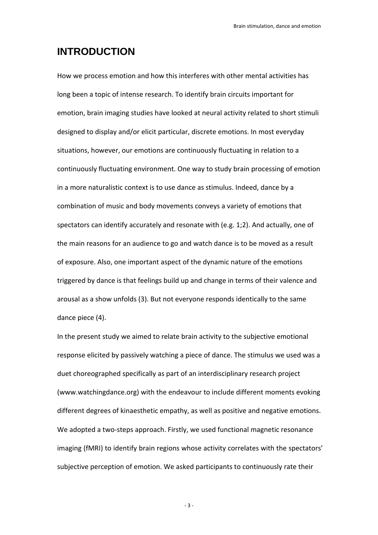# **INTRODUCTION**

How we process emotion and how this interferes with other mental activities has long been a topic of intense research. To identify brain circuits important for emotion, brain imaging studies have looked at neural activity related to short stimuli designed to display and/or elicit particular, discrete emotions. In most everyday situations, however, our emotions are continuously fluctuating in relation to a continuously fluctuating environment. One way to study brain processing of emotion in a more naturalistic context is to use dance as stimulus. Indeed, dance by a combination of music and body movements conveys a variety of emotions that spectators can identify accurately and resonate with (e.g. 1;2). And actually, one of the main reasons for an audience to go and watch dance is to be moved as a result of exposure. Also, one important aspect of the dynamic nature of the emotions triggered by dance is that feelings build up and change in terms of their valence and arousal as a show unfolds (3). But not everyone responds identically to the same dance piece (4).

In the present study we aimed to relate brain activity to the subjective emotional response elicited by passively watching a piece of dance. The stimulus we used was a duet choreographed specifically as part of an interdisciplinary research project (www.watchingdance.org) with the endeavour to include different moments evoking different degrees of kinaesthetic empathy, as well as positive and negative emotions. We adopted a two-steps approach. Firstly, we used functional magnetic resonance imaging (fMRI) to identify brain regions whose activity correlates with the spectators' subjective perception of emotion. We asked participants to continuously rate their

‐ 3 ‐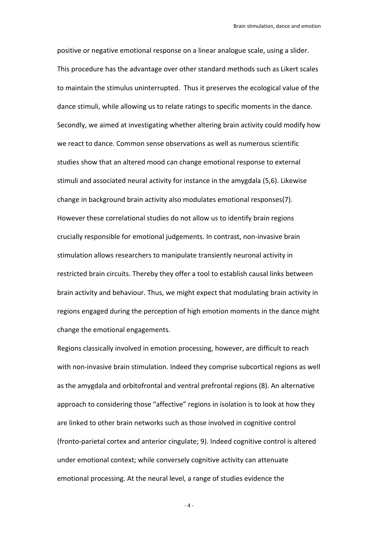positive or negative emotional response on a linear analogue scale, using a slider. This procedure has the advantage over other standard methods such as Likert scales to maintain the stimulus uninterrupted. Thus it preserves the ecological value of the dance stimuli, while allowing us to relate ratings to specific moments in the dance. Secondly, we aimed at investigating whether altering brain activity could modify how we react to dance. Common sense observations as well as numerous scientific studies show that an altered mood can change emotional response to external stimuli and associated neural activity for instance in the amygdala (5,6). Likewise change in background brain activity also modulates emotional responses(7). However these correlational studies do not allow us to identify brain regions crucially responsible for emotional judgements. In contrast, non‐invasive brain stimulation allows researchers to manipulate transiently neuronal activity in restricted brain circuits. Thereby they offer a tool to establish causal links between brain activity and behaviour. Thus, we might expect that modulating brain activity in regions engaged during the perception of high emotion moments in the dance might change the emotional engagements.

Regions classically involved in emotion processing, however, are difficult to reach with non-invasive brain stimulation. Indeed they comprise subcortical regions as well as the amygdala and orbitofrontal and ventral prefrontal regions (8). An alternative approach to considering those "affective" regions in isolation is to look at how they are linked to other brain networks such as those involved in cognitive control (fronto‐parietal cortex and anterior cingulate; 9). Indeed cognitive control is altered under emotional context; while conversely cognitive activity can attenuate emotional processing. At the neural level, a range of studies evidence the

 $-4 -$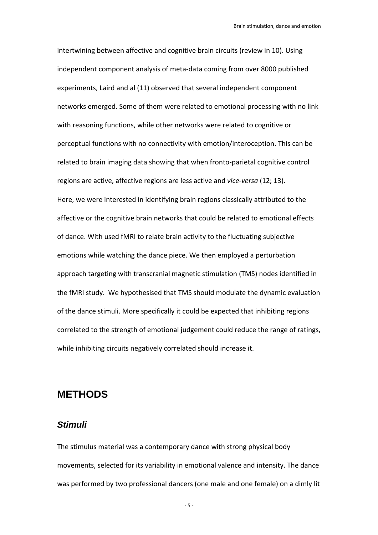intertwining between affective and cognitive brain circuits (review in 10). Using independent component analysis of meta‐data coming from over 8000 published experiments, Laird and al (11) observed that several independent component networks emerged. Some of them were related to emotional processing with no link with reasoning functions, while other networks were related to cognitive or perceptual functions with no connectivity with emotion/interoception. This can be related to brain imaging data showing that when fronto‐parietal cognitive control regions are active, affective regions are less active and *vice‐versa* (12; 13). Here, we were interested in identifying brain regions classically attributed to the affective or the cognitive brain networks that could be related to emotional effects of dance. With used fMRI to relate brain activity to the fluctuating subjective emotions while watching the dance piece. We then employed a perturbation approach targeting with transcranial magnetic stimulation (TMS) nodes identified in the fMRI study. We hypothesised that TMS should modulate the dynamic evaluation of the dance stimuli. More specifically it could be expected that inhibiting regions correlated to the strength of emotional judgement could reduce the range of ratings, while inhibiting circuits negatively correlated should increase it.

# **METHODS**

### *Stimuli*

The stimulus material was a contemporary dance with strong physical body movements, selected for its variability in emotional valence and intensity. The dance was performed by two professional dancers (one male and one female) on a dimly lit

 $-5 -$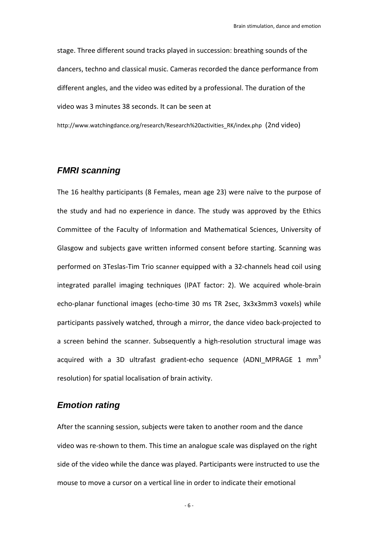stage. Three different sound tracks played in succession: breathing sounds of the dancers, techno and classical music. Cameras recorded the dance performance from different angles, and the video was edited by a professional. The duration of the video was 3 minutes 38 seconds. It can be seen at

http://www.watchingdance.org/research/Research%20activities\_RK/index.php (2nd video)

### *FMRI scanning*

The 16 healthy participants (8 Females, mean age 23) were naïve to the purpose of the study and had no experience in dance. The study was approved by the Ethics Committee of the Faculty of Information and Mathematical Sciences, University of Glasgow and subjects gave written informed consent before starting. Scanning was performed on 3Teslas‐Tim Trio scanner equipped with a 32‐channels head coil using integrated parallel imaging techniques (IPAT factor: 2). We acquired whole-brain echo-planar functional images (echo-time 30 ms TR 2sec, 3x3x3mm3 voxels) while participants passively watched, through a mirror, the dance video back‐projected to a screen behind the scanner. Subsequently a high-resolution structural image was acquired with a 3D ultrafast gradient-echo sequence (ADNI MPRAGE 1 mm<sup>3</sup> resolution) for spatial localisation of brain activity.

## *Emotion rating*

After the scanning session, subjects were taken to another room and the dance video was re‐shown to them. This time an analogue scale was displayed on the right side of the video while the dance was played. Participants were instructed to use the mouse to move a cursor on a vertical line in order to indicate their emotional

‐ 6 ‐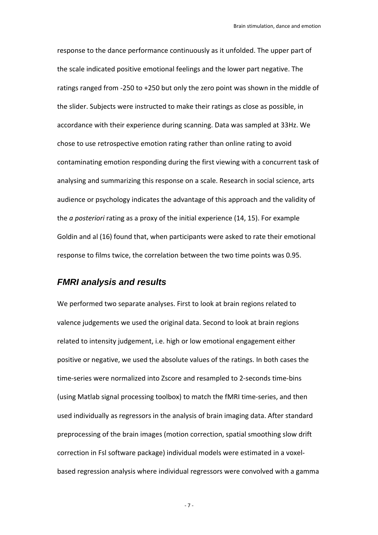response to the dance performance continuously as it unfolded. The upper part of the scale indicated positive emotional feelings and the lower part negative. The ratings ranged from ‐250 to +250 but only the zero point was shown in the middle of the slider. Subjects were instructed to make their ratings as close as possible, in accordance with their experience during scanning. Data was sampled at 33Hz. We chose to use retrospective emotion rating rather than online rating to avoid contaminating emotion responding during the first viewing with a concurrent task of analysing and summarizing this response on a scale. Research in social science, arts audience or psychology indicates the advantage of this approach and the validity of the *a posteriori* rating as a proxy of the initial experience (14, 15). For example Goldin and al (16) found that, when participants were asked to rate their emotional response to films twice, the correlation between the two time points was 0.95.

## *FMRI analysis and results*

We performed two separate analyses. First to look at brain regions related to valence judgements we used the original data. Second to look at brain regions related to intensity judgement, i.e. high or low emotional engagement either positive or negative, we used the absolute values of the ratings. In both cases the time‐series were normalized into Zscore and resampled to 2‐seconds time‐bins (using Matlab signal processing toolbox) to match the fMRI time‐series, and then used individually as regressors in the analysis of brain imaging data. After standard preprocessing of the brain images (motion correction, spatial smoothing slow drift correction in Fsl software package) individual models were estimated in a voxel‐ based regression analysis where individual regressors were convolved with a gamma

‐ 7 ‐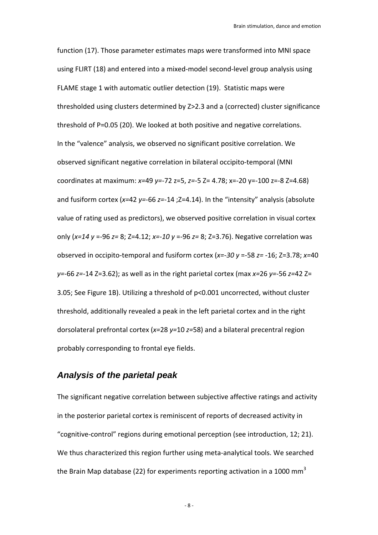function (17). Those parameter estimates maps were transformed into MNI space using FLIRT (18) and entered into a mixed-model second-level group analysis using FLAME stage 1 with automatic outlier detection (19). Statistic maps were thresholded using clusters determined by Z>2.3 and a (corrected) cluster significance threshold of P=0.05 (20). We looked at both positive and negative correlations. In the "valence" analysis, we observed no significant positive correlation. We observed significant negative correlation in bilateral occipito‐temporal (MNI coordinates at maximum: *x=*49 *y=‐*72 z=5, *z=*‐5 Z= 4.78; x=‐20 y=‐100 z=‐8 Z=4.68) and fusiform cortex (*x=*42 *y=*‐66 *z=*‐14 ;Z=4.14). In the "intensity" analysis (absolute value of rating used as predictors), we observed positive correlation in visual cortex only (*x=14 y* =‐96 *z=* 8; Z=4.12; *x=‐10 y* =‐96 *z=* 8; Z=3.76). Negative correlation was observed in occipito‐temporal and fusiform cortex (*x=‐30 y* =‐58 *z=* ‐16; Z=3.78; *x=*40 *y=‐*66 *z=‐*14 Z=3.62); as well as in the right parietal cortex (max *x=*26 *y=*‐56 *z=*42 Z= 3.05; See Figure 1B). Utilizing a threshold of p<0.001 uncorrected, without cluster threshold, additionally revealed a peak in the left parietal cortex and in the right dorsolateral prefrontal cortex (*x=*28 *y=*10 *z=*58) and a bilateral precentral region probably corresponding to frontal eye fields.

## *Analysis of the parietal peak*

The significant negative correlation between subjective affective ratings and activity in the posterior parietal cortex is reminiscent of reports of decreased activity in "cognitive‐control" regions during emotional perception (see introduction, 12; 21). We thus characterized this region further using meta-analytical tools. We searched the Brain Map database (22) for experiments reporting activation in a 1000 mm<sup>3</sup>

‐ 8 ‐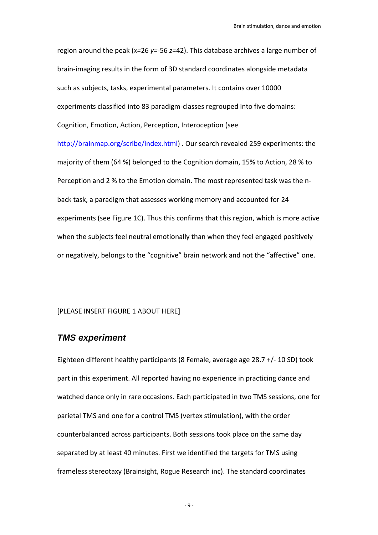region around the peak (*x=*26 *y=*‐56 *z=*42). This database archives a large number of brain‐imaging results in the form of 3D standard coordinates alongside metadata such as subjects, tasks, experimental parameters. It contains over 10000 experiments classified into 83 paradigm‐classes regrouped into five domains: Cognition, Emotion, Action, Perception, Interoception (see http://brainmap.org/scribe/index.html) . Our search revealed 259 experiments: the majority of them (64 %) belonged to the Cognition domain, 15% to Action, 28 % to Perception and 2 % to the Emotion domain. The most represented task was the n‐ back task, a paradigm that assesses working memory and accounted for 24 experiments (see Figure 1C). Thus this confirms that this region, which is more active when the subjects feel neutral emotionally than when they feel engaged positively or negatively, belongs to the "cognitive" brain network and not the "affective" one.

#### [PLEASE INSERT FIGURE 1 ABOUT HERE]

### *TMS experiment*

Eighteen different healthy participants (8 Female, average age 28.7 +/‐ 10 SD) took part in this experiment. All reported having no experience in practicing dance and watched dance only in rare occasions. Each participated in two TMS sessions, one for parietal TMS and one for a control TMS (vertex stimulation), with the order counterbalanced across participants. Both sessions took place on the same day separated by at least 40 minutes. First we identified the targets for TMS using frameless stereotaxy (Brainsight, Rogue Research inc). The standard coordinates

‐ 9 ‐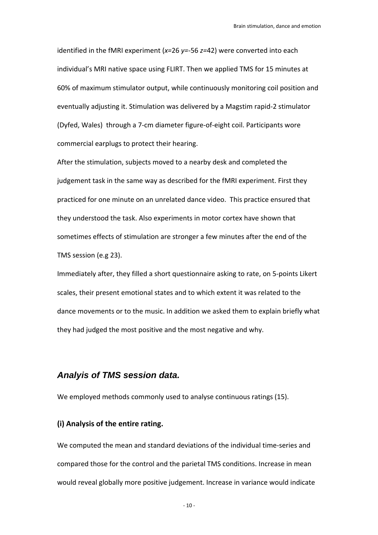identified in the fMRI experiment (*x=*26 *y=*‐56 *z=*42) were converted into each individual's MRI native space using FLIRT. Then we applied TMS for 15 minutes at 60% of maximum stimulator output, while continuously monitoring coil position and eventually adjusting it. Stimulation was delivered by a Magstim rapid‐2 stimulator (Dyfed, Wales) through a 7‐cm diameter figure‐of‐eight coil. Participants wore commercial earplugs to protect their hearing.

After the stimulation, subjects moved to a nearby desk and completed the judgement task in the same way as described for the fMRI experiment. First they practiced for one minute on an unrelated dance video. This practice ensured that they understood the task. Also experiments in motor cortex have shown that sometimes effects of stimulation are stronger a few minutes after the end of the TMS session (e.g 23).

Immediately after, they filled a short questionnaire asking to rate, on 5‐points Likert scales, their present emotional states and to which extent it was related to the dance movements or to the music. In addition we asked them to explain briefly what they had judged the most positive and the most negative and why.

### *Analyis of TMS session data.*

We employed methods commonly used to analyse continuous ratings (15).

#### **(i) Analysis of the entire rating.**

We computed the mean and standard deviations of the individual time‐series and compared those for the control and the parietal TMS conditions. Increase in mean would reveal globally more positive judgement. Increase in variance would indicate

 $-10 -$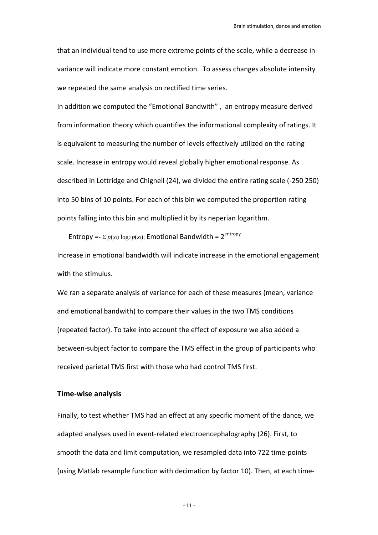that an individual tend to use more extreme points of the scale, while a decrease in variance will indicate more constant emotion. To assess changes absolute intensity we repeated the same analysis on rectified time series.

In addition we computed the "Emotional Bandwith" , an entropy measure derived from information theory which quantifies the informational complexity of ratings. It is equivalent to measuring the number of levels effectively utilized on the rating scale. Increase in entropy would reveal globally higher emotional response. As described in Lottridge and Chignell (24), we divided the entire rating scale (‐250 250) into 50 bins of 10 points. For each of this bin we computed the proportion rating points falling into this bin and multiplied it by its neperian logarithm.

Entropy =-  $\sum p(x_i) \log_2 p(x_i)$ ; Emotional Bandwidth =  $2^{\text{entropy}}$ 

Increase in emotional bandwidth will indicate increase in the emotional engagement with the stimulus.

We ran a separate analysis of variance for each of these measures (mean, variance and emotional bandwith) to compare their values in the two TMS conditions (repeated factor). To take into account the effect of exposure we also added a between‐subject factor to compare the TMS effect in the group of participants who received parietal TMS first with those who had control TMS first.

#### **Time‐wise analysis**

Finally, to test whether TMS had an effect at any specific moment of the dance, we adapted analyses used in event‐related electroencephalography (26). First, to smooth the data and limit computation, we resampled data into 722 time-points (using Matlab resample function with decimation by factor 10). Then, at each time‐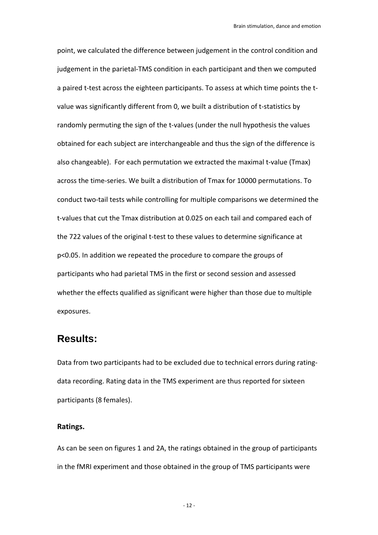point, we calculated the difference between judgement in the control condition and judgement in the parietal-TMS condition in each participant and then we computed a paired t-test across the eighteen participants. To assess at which time points the tvalue was significantly different from 0, we built a distribution of t‐statistics by randomly permuting the sign of the t-values (under the null hypothesis the values obtained for each subject are interchangeable and thus the sign of the difference is also changeable). For each permutation we extracted the maximal t‐value (Tmax) across the time‐series. We built a distribution of Tmax for 10000 permutations. To conduct two‐tail tests while controlling for multiple comparisons we determined the t-values that cut the Tmax distribution at 0.025 on each tail and compared each of the 722 values of the original t-test to these values to determine significance at p<0.05. In addition we repeated the procedure to compare the groups of participants who had parietal TMS in the first or second session and assessed whether the effects qualified as significant were higher than those due to multiple exposures.

# **Results:**

Data from two participants had to be excluded due to technical errors during rating‐ data recording. Rating data in the TMS experiment are thus reported for sixteen participants (8 females).

#### **Ratings.**

As can be seen on figures 1 and 2A, the ratings obtained in the group of participants in the fMRI experiment and those obtained in the group of TMS participants were

 $-12-$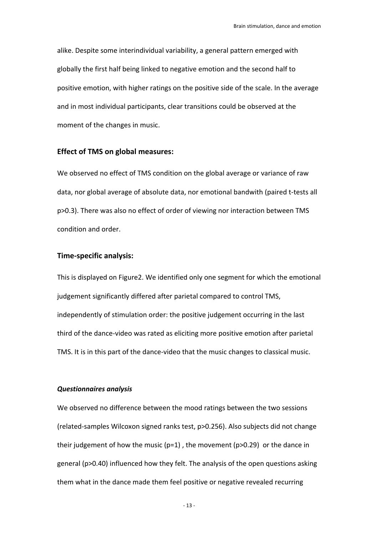alike. Despite some interindividual variability, a general pattern emerged with globally the first half being linked to negative emotion and the second half to positive emotion, with higher ratings on the positive side of the scale. In the average and in most individual participants, clear transitions could be observed at the moment of the changes in music.

#### **Effect of TMS on global measures:**

We observed no effect of TMS condition on the global average or variance of raw data, nor global average of absolute data, nor emotional bandwith (paired t‐tests all p>0.3). There was also no effect of order of viewing nor interaction between TMS condition and order.

#### **Time‐specific analysis:**

This is displayed on Figure2. We identified only one segment for which the emotional judgement significantly differed after parietal compared to control TMS, independently of stimulation order: the positive judgement occurring in the last third of the dance‐video was rated as eliciting more positive emotion after parietal TMS. It is in this part of the dance‐video that the music changes to classical music.

#### *Questionnaires analysis*

We observed no difference between the mood ratings between the two sessions (related‐samples Wilcoxon signed ranks test, p>0.256). Also subjects did not change their judgement of how the music ( $p=1$ ), the movement ( $p>0.29$ ) or the dance in general (p>0.40) influenced how they felt. The analysis of the open questions asking them what in the dance made them feel positive or negative revealed recurring

‐ 13 ‐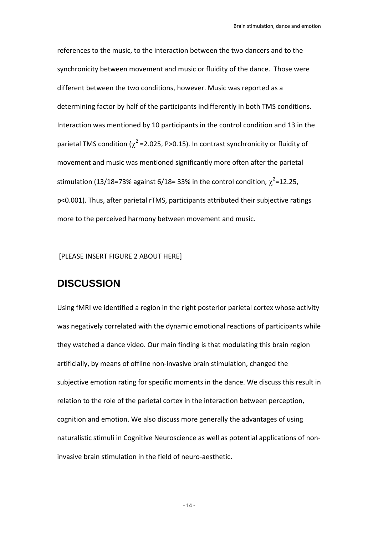references to the music, to the interaction between the two dancers and to the synchronicity between movement and music or fluidity of the dance. Those were different between the two conditions, however. Music was reported as a determining factor by half of the participants indifferently in both TMS conditions. Interaction was mentioned by 10 participants in the control condition and 13 in the parietal TMS condition ( $\chi^2$  =2.025, P>0.15). In contrast synchronicity or fluidity of movement and music was mentioned significantly more often after the parietal stimulation (13/18=73% against 6/18= 33% in the control condition,  $\chi^2$ =12.25, p<0.001). Thus, after parietal rTMS, participants attributed their subjective ratings more to the perceived harmony between movement and music.

[PLEASE INSERT FIGURE 2 ABOUT HERE]

# **DISCUSSION**

Using fMRI we identified a region in the right posterior parietal cortex whose activity was negatively correlated with the dynamic emotional reactions of participants while they watched a dance video. Our main finding is that modulating this brain region artificially, by means of offline non‐invasive brain stimulation, changed the subjective emotion rating for specific moments in the dance. We discuss this result in relation to the role of the parietal cortex in the interaction between perception, cognition and emotion. We also discuss more generally the advantages of using naturalistic stimuli in Cognitive Neuroscience as well as potential applications of non‐ invasive brain stimulation in the field of neuro‐aesthetic.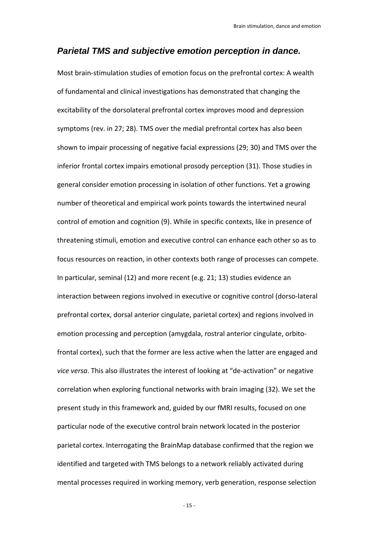### *Parietal TMS and subjective emotion perception in dance.*

Most brain‐stimulation studies of emotion focus on the prefrontal cortex: A wealth of fundamental and clinical investigations has demonstrated that changing the excitability of the dorsolateral prefrontal cortex improves mood and depression symptoms (rev. in 27; 28). TMS over the medial prefrontal cortex has also been shown to impair processing of negative facial expressions (29; 30) and TMS over the inferior frontal cortex impairs emotional prosody perception (31). Those studies in general consider emotion processing in isolation of other functions. Yet a growing number of theoretical and empirical work points towards the intertwined neural control of emotion and cognition (9). While in specific contexts, like in presence of threatening stimuli, emotion and executive control can enhance each other so as to focus resources on reaction, in other contexts both range of processes can compete. In particular, seminal (12) and more recent (e.g. 21; 13) studies evidence an interaction between regions involved in executive or cognitive control (dorso‐lateral prefrontal cortex, dorsal anterior cingulate, parietal cortex) and regions involved in emotion processing and perception (amygdala, rostral anterior cingulate, orbito‐ frontal cortex), such that the former are less active when the latter are engaged and *vice versa*. This also illustrates the interest of looking at "de‐activation" or negative correlation when exploring functional networks with brain imaging (32). We set the present study in this framework and, guided by our fMRI results, focused on one particular node of the executive control brain network located in the posterior parietal cortex. Interrogating the BrainMap database confirmed that the region we identified and targeted with TMS belongs to a network reliably activated during mental processes required in working memory, verb generation, response selection

 $-15 -$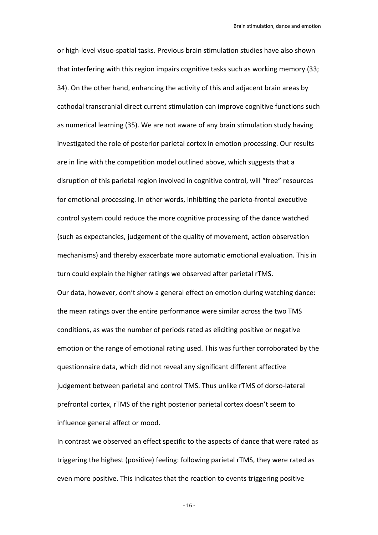or high‐level visuo‐spatial tasks. Previous brain stimulation studies have also shown that interfering with this region impairs cognitive tasks such as working memory (33; 34). On the other hand, enhancing the activity of this and adjacent brain areas by cathodal transcranial direct current stimulation can improve cognitive functions such as numerical learning (35). We are not aware of any brain stimulation study having investigated the role of posterior parietal cortex in emotion processing. Our results are in line with the competition model outlined above, which suggests that a disruption of this parietal region involved in cognitive control, will "free" resources for emotional processing. In other words, inhibiting the parieto-frontal executive control system could reduce the more cognitive processing of the dance watched (such as expectancies, judgement of the quality of movement, action observation mechanisms) and thereby exacerbate more automatic emotional evaluation. This in turn could explain the higher ratings we observed after parietal rTMS. Our data, however, don't show a general effect on emotion during watching dance: the mean ratings over the entire performance were similar across the two TMS conditions, as was the number of periods rated as eliciting positive or negative emotion or the range of emotional rating used. This was further corroborated by the questionnaire data, which did not reveal any significant different affective judgement between parietal and control TMS. Thus unlike rTMS of dorso‐lateral prefrontal cortex, rTMS of the right posterior parietal cortex doesn't seem to influence general affect or mood.

In contrast we observed an effect specific to the aspects of dance that were rated as triggering the highest (positive) feeling: following parietal rTMS, they were rated as even more positive. This indicates that the reaction to events triggering positive

 $-16-$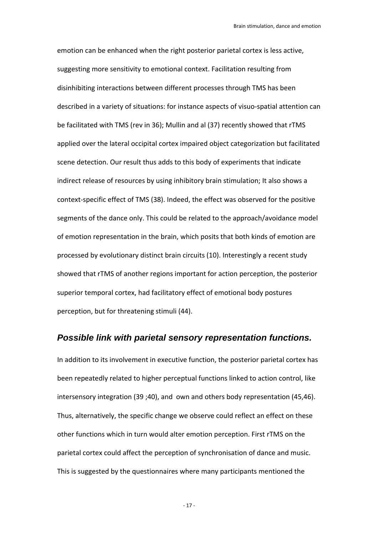emotion can be enhanced when the right posterior parietal cortex is less active, suggesting more sensitivity to emotional context. Facilitation resulting from disinhibiting interactions between different processes through TMS has been described in a variety of situations: for instance aspects of visuo‐spatial attention can be facilitated with TMS (rev in 36); Mullin and al (37) recently showed that rTMS applied over the lateral occipital cortex impaired object categorization but facilitated scene detection. Our result thus adds to this body of experiments that indicate indirect release of resources by using inhibitory brain stimulation; It also shows a context‐specific effect of TMS (38). Indeed, the effect was observed for the positive segments of the dance only. This could be related to the approach/avoidance model of emotion representation in the brain, which posits that both kinds of emotion are processed by evolutionary distinct brain circuits (10). Interestingly a recent study showed that rTMS of another regions important for action perception, the posterior superior temporal cortex, had facilitatory effect of emotional body postures perception, but for threatening stimuli (44).

### *Possible link with parietal sensory representation functions.*

In addition to its involvement in executive function, the posterior parietal cortex has been repeatedly related to higher perceptual functions linked to action control, like intersensory integration (39 ;40), and own and others body representation (45,46). Thus, alternatively, the specific change we observe could reflect an effect on these other functions which in turn would alter emotion perception. First rTMS on the parietal cortex could affect the perception of synchronisation of dance and music. This is suggested by the questionnaires where many participants mentioned the

 $-17 -$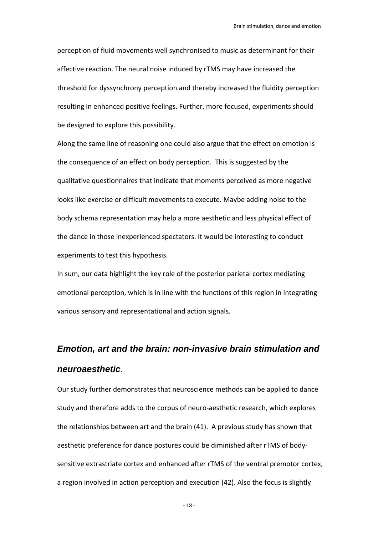perception of fluid movements well synchronised to music as determinant for their affective reaction. The neural noise induced by rTMS may have increased the threshold for dyssynchrony perception and thereby increased the fluidity perception resulting in enhanced positive feelings. Further, more focused, experiments should be designed to explore this possibility.

Along the same line of reasoning one could also argue that the effect on emotion is the consequence of an effect on body perception. This is suggested by the qualitative questionnaires that indicate that moments perceived as more negative looks like exercise or difficult movements to execute. Maybe adding noise to the body schema representation may help a more aesthetic and less physical effect of the dance in those inexperienced spectators. It would be interesting to conduct experiments to test this hypothesis.

In sum, our data highlight the key role of the posterior parietal cortex mediating emotional perception, which is in line with the functions of this region in integrating various sensory and representational and action signals.

# *Emotion, art and the brain: non-invasive brain stimulation and neuroaesthetic*.

Our study further demonstrates that neuroscience methods can be applied to dance study and therefore adds to the corpus of neuro‐aesthetic research, which explores the relationships between art and the brain (41). A previous study has shown that aesthetic preference for dance postures could be diminished after rTMS of body‐ sensitive extrastriate cortex and enhanced after rTMS of the ventral premotor cortex, a region involved in action perception and execution (42). Also the focus is slightly

‐ 18 ‐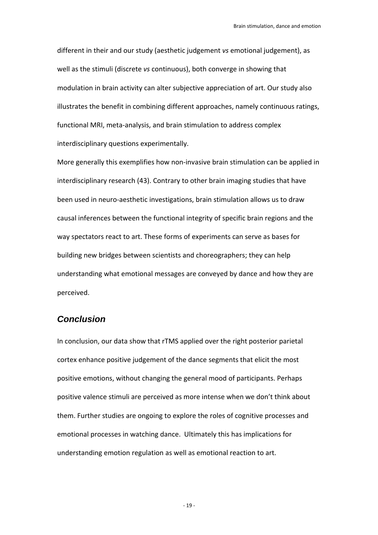different in their and our study (aesthetic judgement *vs* emotional judgement), as well as the stimuli (discrete *vs* continuous), both converge in showing that modulation in brain activity can alter subjective appreciation of art. Our study also illustrates the benefit in combining different approaches, namely continuous ratings, functional MRI, meta‐analysis, and brain stimulation to address complex interdisciplinary questions experimentally.

More generally this exemplifies how non‐invasive brain stimulation can be applied in interdisciplinary research (43). Contrary to other brain imaging studies that have been used in neuro‐aesthetic investigations, brain stimulation allows us to draw causal inferences between the functional integrity of specific brain regions and the way spectators react to art. These forms of experiments can serve as bases for building new bridges between scientists and choreographers; they can help understanding what emotional messages are conveyed by dance and how they are perceived.

### *Conclusion*

In conclusion, our data show that rTMS applied over the right posterior parietal cortex enhance positive judgement of the dance segments that elicit the most positive emotions, without changing the general mood of participants. Perhaps positive valence stimuli are perceived as more intense when we don't think about them. Further studies are ongoing to explore the roles of cognitive processes and emotional processes in watching dance. Ultimately this has implications for understanding emotion regulation as well as emotional reaction to art.

‐ 19 ‐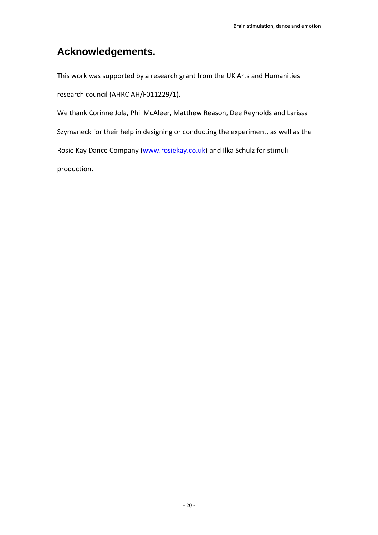# **Acknowledgements.**

This work was supported by a research grant from the UK Arts and Humanities research council (AHRC AH/F011229/1).

We thank Corinne Jola, Phil McAleer, Matthew Reason, Dee Reynolds and Larissa Szymaneck for their help in designing or conducting the experiment, as well as the Rosie Kay Dance Company (www.rosiekay.co.uk) and Ilka Schulz for stimuli production.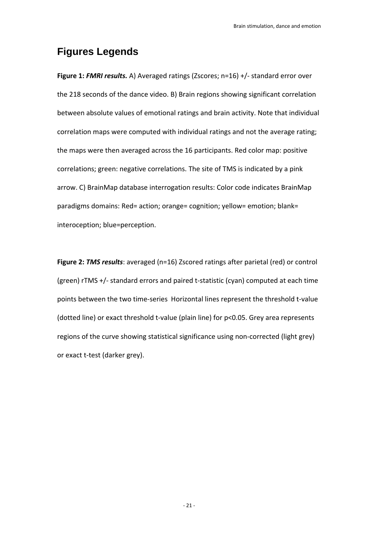# **Figures Legends**

**Figure 1:** *FMRI results.* A) Averaged ratings (Zscores; n=16) +/‐ standard error over the 218 seconds of the dance video. B) Brain regions showing significant correlation between absolute values of emotional ratings and brain activity. Note that individual correlation maps were computed with individual ratings and not the average rating; the maps were then averaged across the 16 participants. Red color map: positive correlations; green: negative correlations. The site of TMS is indicated by a pink arrow. C) BrainMap database interrogation results: Color code indicates BrainMap paradigms domains: Red= action; orange= cognition; yellow= emotion; blank= interoception; blue=perception.

**Figure 2:** *TMS results*: averaged (n=16) Zscored ratings after parietal (red) or control (green) rTMS +/‐ standard errors and paired t‐statistic (cyan) computed at each time points between the two time‐series Horizontal lines represent the threshold t‐value (dotted line) or exact threshold t‐value (plain line) for p<0.05. Grey area represents regions of the curve showing statistical significance using non‐corrected (light grey) or exact t‐test (darker grey).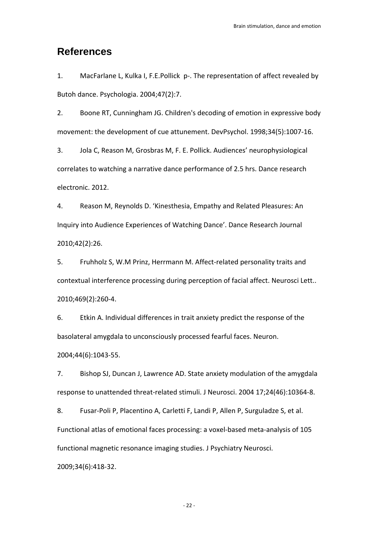# **References**

1. MacFarlane L, Kulka I, F.E.Pollick p‐. The representation of affect revealed by Butoh dance. Psychologia. 2004;47(2):7.

2. Boone RT, Cunningham JG. Children's decoding of emotion in expressive body movement: the development of cue attunement. DevPsychol. 1998;34(5):1007‐16.

3. Jola C, Reason M, Grosbras M, F. E. Pollick. Audiences' neurophysiological correlates to watching a narrative dance performance of 2.5 hrs. Dance research electronic. 2012.

4. Reason M, Reynolds D. 'Kinesthesia, Empathy and Related Pleasures: An Inquiry into Audience Experiences of Watching Dance'. Dance Research Journal 2010;42(2):26.

5. Fruhholz S, W.M Prinz, Herrmann M. Affect-related personality traits and contextual interference processing during perception of facial affect. Neurosci Lett.. 2010;469(2):260‐4.

6. Etkin A. Individual differences in trait anxiety predict the response of the basolateral amygdala to unconsciously processed fearful faces. Neuron. 2004;44(6):1043‐55.

7. Bishop SJ, Duncan J, Lawrence AD. State anxiety modulation of the amygdala response to unattended threat‐related stimuli. J Neurosci. 2004 17;24(46):10364‐8.

8. Fusar-Poli P, Placentino A, Carletti F, Landi P, Allen P, Surguladze S, et al. Functional atlas of emotional faces processing: a voxel‐based meta‐analysis of 105 functional magnetic resonance imaging studies. J Psychiatry Neurosci. 2009;34(6):418‐32.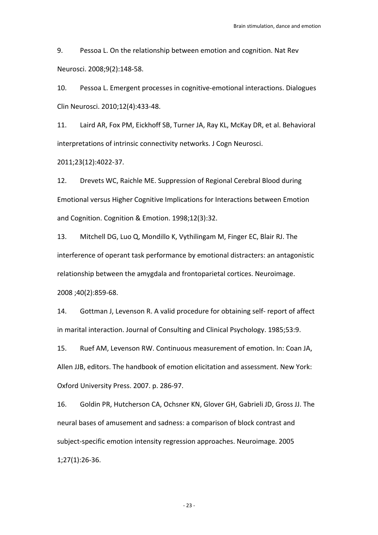9. Pessoa L. On the relationship between emotion and cognition. Nat Rev Neurosci. 2008;9(2):148‐58.

10. Pessoa L. Emergent processes in cognitive-emotional interactions. Dialogues Clin Neurosci. 2010;12(4):433‐48.

11. Laird AR, Fox PM, Eickhoff SB, Turner JA, Ray KL, McKay DR, et al. Behavioral interpretations of intrinsic connectivity networks. J Cogn Neurosci.

2011;23(12):4022‐37.

12. Drevets WC, Raichle ME. Suppression of Regional Cerebral Blood during Emotional versus Higher Cognitive Implications for Interactions between Emotion and Cognition. Cognition & Emotion. 1998;12(3):32.

13. Mitchell DG, Luo Q, Mondillo K, Vythilingam M, Finger EC, Blair RJ. The interference of operant task performance by emotional distracters: an antagonistic relationship between the amygdala and frontoparietal cortices. Neuroimage. 2008 ;40(2):859‐68.

14. Gottman J, Levenson R. A valid procedure for obtaining self‐ report of affect in marital interaction. Journal of Consulting and Clinical Psychology. 1985;53:9.

15. Ruef AM, Levenson RW. Continuous measurement of emotion. In: Coan JA, Allen JJB, editors. The handbook of emotion elicitation and assessment. New York: Oxford University Press. 2007. p. 286‐97.

16. Goldin PR, Hutcherson CA, Ochsner KN, Glover GH, Gabrieli JD, Gross JJ. The neural bases of amusement and sadness: a comparison of block contrast and subject‐specific emotion intensity regression approaches. Neuroimage. 2005 1;27(1):26‐36.

‐ 23 ‐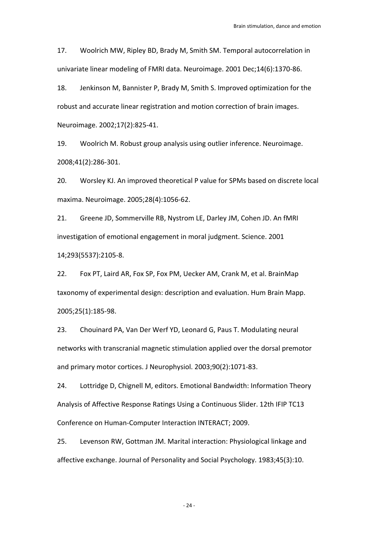17. Woolrich MW, Ripley BD, Brady M, Smith SM. Temporal autocorrelation in univariate linear modeling of FMRI data. Neuroimage. 2001 Dec;14(6):1370‐86.

18. Jenkinson M, Bannister P, Brady M, Smith S. Improved optimization for the robust and accurate linear registration and motion correction of brain images. Neuroimage. 2002;17(2):825‐41.

19. Woolrich M. Robust group analysis using outlier inference. Neuroimage. 2008;41(2):286‐301.

20. Worsley KJ. An improved theoretical P value for SPMs based on discrete local maxima. Neuroimage. 2005;28(4):1056‐62.

21. Greene JD, Sommerville RB, Nystrom LE, Darley JM, Cohen JD. An fMRI investigation of emotional engagement in moral judgment. Science. 2001

14;293(5537):2105‐8.

22. Fox PT, Laird AR, Fox SP, Fox PM, Uecker AM, Crank M, et al. BrainMap taxonomy of experimental design: description and evaluation. Hum Brain Mapp. 2005;25(1):185‐98.

23. Chouinard PA, Van Der Werf YD, Leonard G, Paus T. Modulating neural networks with transcranial magnetic stimulation applied over the dorsal premotor and primary motor cortices. J Neurophysiol. 2003;90(2):1071‐83.

24. Lottridge D, Chignell M, editors. Emotional Bandwidth: Information Theory Analysis of Affective Response Ratings Using a Continuous Slider. 12th IFIP TC13 Conference on Human‐Computer Interaction INTERACT; 2009.

25. Levenson RW, Gottman JM. Marital interaction: Physiological linkage and affective exchange. Journal of Personality and Social Psychology. 1983;45(3):10.

‐ 24 ‐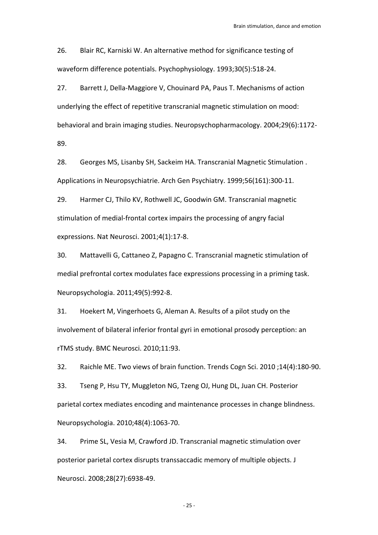26. Blair RC, Karniski W. An alternative method for significance testing of waveform difference potentials. Psychophysiology. 1993;30(5):518‐24.

27. Barrett J, Della‐Maggiore V, Chouinard PA, Paus T. Mechanisms of action underlying the effect of repetitive transcranial magnetic stimulation on mood: behavioral and brain imaging studies. Neuropsychopharmacology. 2004;29(6):1172‐ 89.

28. Georges MS, Lisanby SH, Sackeim HA. Transcranial Magnetic Stimulation . Applications in Neuropsychiatrie. Arch Gen Psychiatry. 1999;56(161):300‐11.

29. Harmer CJ, Thilo KV, Rothwell JC, Goodwin GM. Transcranial magnetic stimulation of medial‐frontal cortex impairs the processing of angry facial expressions. Nat Neurosci. 2001;4(1):17‐8.

30. Mattavelli G, Cattaneo Z, Papagno C. Transcranial magnetic stimulation of medial prefrontal cortex modulates face expressions processing in a priming task. Neuropsychologia. 2011;49(5):992‐8.

31. Hoekert M, Vingerhoets G, Aleman A. Results of a pilot study on the involvement of bilateral inferior frontal gyri in emotional prosody perception: an rTMS study. BMC Neurosci. 2010;11:93.

32. Raichle ME. Two views of brain function. Trends Cogn Sci. 2010 ;14(4):180‐90.

33. Tseng P, Hsu TY, Muggleton NG, Tzeng OJ, Hung DL, Juan CH. Posterior parietal cortex mediates encoding and maintenance processes in change blindness. Neuropsychologia. 2010;48(4):1063‐70.

34. Prime SL, Vesia M, Crawford JD. Transcranial magnetic stimulation over posterior parietal cortex disrupts transsaccadic memory of multiple objects. J Neurosci. 2008;28(27):6938‐49.

‐ 25 ‐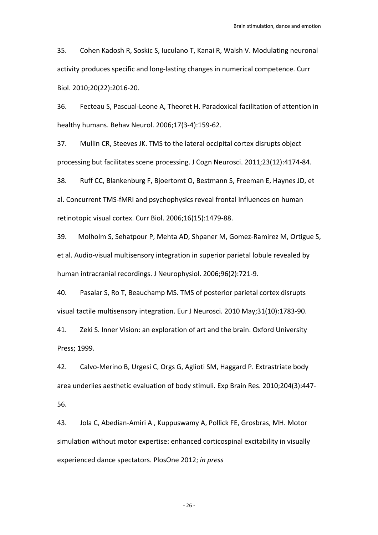35. Cohen Kadosh R, Soskic S, Iuculano T, Kanai R, Walsh V. Modulating neuronal activity produces specific and long‐lasting changes in numerical competence. Curr Biol. 2010;20(22):2016‐20.

36. Fecteau S, Pascual‐Leone A, Theoret H. Paradoxical facilitation of attention in healthy humans. Behav Neurol. 2006;17(3‐4):159‐62.

37. Mullin CR, Steeves JK. TMS to the lateral occipital cortex disrupts object processing but facilitates scene processing. J Cogn Neurosci. 2011;23(12):4174‐84.

38. Ruff CC, Blankenburg F, Bjoertomt O, Bestmann S, Freeman E, Haynes JD, et al. Concurrent TMS‐fMRI and psychophysics reveal frontal influences on human retinotopic visual cortex. Curr Biol. 2006;16(15):1479‐88.

39. Molholm S, Sehatpour P, Mehta AD, Shpaner M, Gomez‐Ramirez M, Ortigue S, et al. Audio‐visual multisensory integration in superior parietal lobule revealed by human intracranial recordings. J Neurophysiol. 2006;96(2):721‐9.

40. Pasalar S, Ro T, Beauchamp MS. TMS of posterior parietal cortex disrupts visual tactile multisensory integration. Eur J Neurosci. 2010 May;31(10):1783‐90.

41. Zeki S. Inner Vision: an exploration of art and the brain. Oxford University Press; 1999.

42. Calvo‐Merino B, Urgesi C, Orgs G, Aglioti SM, Haggard P. Extrastriate body area underlies aesthetic evaluation of body stimuli. Exp Brain Res. 2010;204(3):447‐ 56.

43. Jola C, Abedian‐Amiri A , Kuppuswamy A, Pollick FE, Grosbras, MH. Motor simulation without motor expertise: enhanced corticospinal excitability in visually experienced dance spectators. PlosOne 2012; *in press*

‐ 26 ‐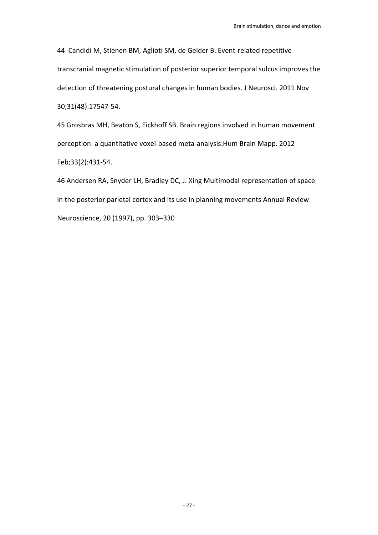44 Candidi M, Stienen BM, Aglioti SM, de Gelder B. Event-related repetitive transcranial magnetic stimulation of posterior superior temporal sulcus improves the detection of threatening postural changes in human bodies. J Neurosci. 2011 Nov 30;31(48):17547‐54.

45 Grosbras MH, Beaton S, Eickhoff SB. Brain regions involved in human movement perception: a quantitative voxel‐based meta‐analysis.Hum Brain Mapp. 2012 Feb;33(2):431‐54.

46 Andersen RA, Snyder LH, Bradley DC, J. Xing Multimodal representation of space in the posterior parietal cortex and its use in planning movements Annual Review Neuroscience, 20 (1997), pp. 303–330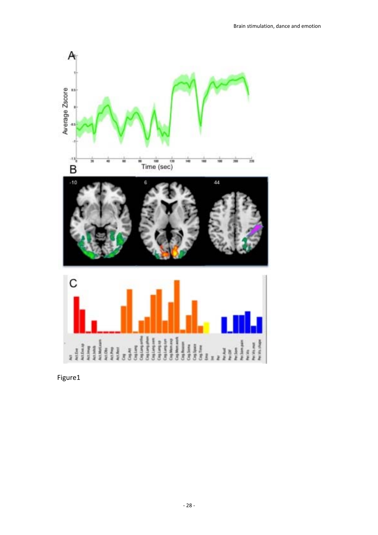

Figure1